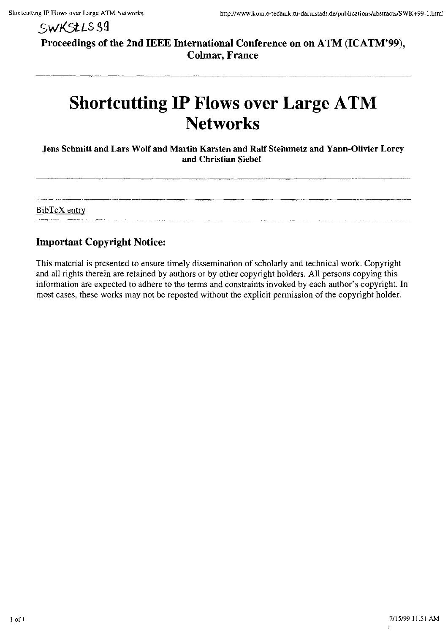SWKSLLS 99

**Proceedings of the 2nd IEEE International Conference on on ATM (ICATM'99), Colmar, France** 

# **Shortcutting IP Flows over Large ATM Networks**

**Jens Schmitt and Lars Wolf and Martin Karsten and Raif Steinmetz and Yann-Olivier Lorcy and Christian Siebe1** 

BibTeX entrv

### **Important Copyright Notice:**

This material is presented to ensure timely dissemination of scholarly and technical work. Copyright and all rights therein are retained by authors or by other copyright holders. All persons copying this information are expected to adhere to the terms and constraints invoked by each author's copyright. In most cases, these works may not be reposted without the explicit permission of the copyright holder.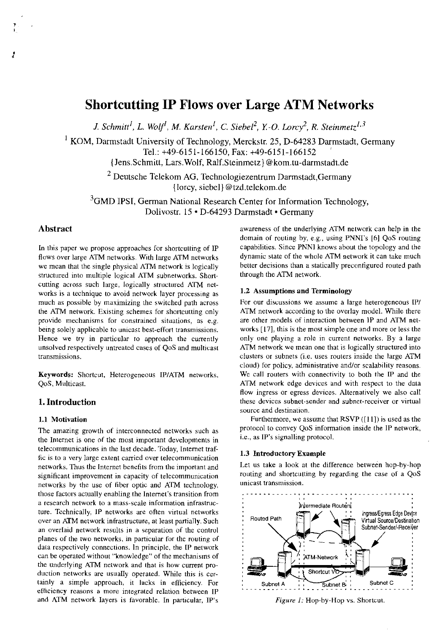## **Shortcutting IP Flows over Large ATM Networks**

J. Schmitt<sup>1</sup>, L. Wolf<sup>1</sup>, M. Karsten<sup>1</sup>, C. Siebel<sup>2</sup>, Y.-O. Lorcy<sup>2</sup>, R. Steinmetz<sup>1,3</sup>

<sup>1</sup> KOM, Darmstadt University of Technology, Merckstr. 25, D-64283 Darmstadt, Germany Tel.: 49-6151-166150, Fax: 49-6151-166152

{Jens.Schmitt, Lars.Wolf, Ralf.Steinmetz} @kom.tu-darmstadt.de

Deutsche Telekom AG, Technologiezentrum Darmstadt,Germany {lorcy, siebel) @tzd.telekom.de

<sup>3</sup>GMD IPSI, German National Research Center for Information Technology,<br>Dolivostr. 15 • D-64293 Darmstadt • Germany

#### **Abstract**

In this paper we propose approaches for shortcutting of IP flows over large ATM networks. With large ATM networks we mean that the single physical ATM network is logically srructured into multiple logical ATM subnetworks. Shortcutting across such large, logically structured ATM networks is a technique to avoid network layer processing as much as possible by maximizing the switched path across the ATM network. Existing schemes for shortcutting only provide mechanisms for constrained situations, as e.g. being solely applicable to unicast best-effort transmissions. Hence we try in particular to approach the currently unsolved respectively untreated cases of OoS and multicast transmissions.

Keywords: Shortcut, Heterogeneous IPIATM networks, QoS, Multicast.

#### **1. Introduction**

#### 1.1 Motivation

The amazing growth of interconnected networks such as the Internet is one of the most important developments in telecommunications in the last decade. Today, Internet traffic is to a very large extent carried over telecommunication **1.3 Introductory Example**<br> **1.3 Introductory Example** . - - - - - - - - - - - - - - - Let us take a look at the difference between hop-by-hop networks. Thus the Internet benefits from the important and<br>significant improvement in capacity of telecommunication routing and shortcutting by regarding the case of a QoS significant improvement in capacity of telecommunication fouting and shortcutting by the use of fiber optic and ATM technology unicast transmission. networks by the use of fiber optic and ATM technology, those factors actually enabling the Internet's transition from a research network to a mass-scale information infrastruc-<br>ture. Technically, IP networks are often virtual networks  $\sum_{n=1}^{\infty}$  dermediate  $\sum_{n=1}^{\infty}$  a an overIaid network results in a separation of the control planes of the two networks. in particular for the routing of data respectively connections. In principle, the IP network can be oprrated without "knowledge" of the mechanisms of the underlying ATM network and that is how current production networks are usuaIIy operated. While this is certainly a simple approach, it lacks in efficiency. For ....................................... eficiency reasons a more integrated relation between IP and ATM network Iayers is favorable. In particular, IP's *Figure 1*: Hop-by-Hop vs. Shortcut.

awareness of the underlying ATM network can help in the domain of routing by, e.g., using PNNI's  $[6]$  QoS routing capabilities. Since PNNl knows about the topology and the dynamic state of the whole ATM network it can take much better decisions than a statically preconfigured routed path through the ATM network.

#### **1.2** Assumptions and Terminology

For our discussions we assume a large heterogeneous IP/ ATM network according to the overlay model. While there are other models of interaction between 1P and ATM networks  $[17]$ , this is the most simple one and more or less the only one playing a role in current networks. By a large ATM network we mean one that is logically structured into clusters or subnets (i.e. uses routers inside the large ATM cloud) for policy, administrative and/or scalability reasons. We call routers with connectivity to both the IP and the ATM network edge deviccs and with respect to the data flow ingress or egress devices. Alternatively we also call these devices subnet-sender and subnet-receiver or virtual source and destination.

Furthennore, we assume that RSVP ([I **11)** is used as the protocol to convey QoS infonnation inside the IP network, i.e., as IP's signalling protocol.

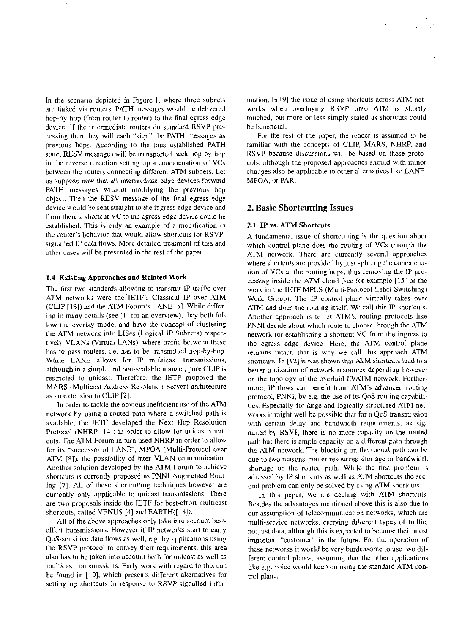In the scenario depicted in Figure 1, where three subnets are linked via routers, PATH messages would be delivered hop-by-hop (from router to router) to the final egress edge device. If the intermediate routers do standard RSVP processing then they will each "sign" the PATH messages **as**  previous hops. According to the thus established PATH state, RESV messages will be transported back hop-by-hop in the reverse direction aetting up a concatenation of VCs between the routers connecting different ATM subnets. Let us suppose now that all intennediate edge devices forward PATH messages without modifying the previous hop object. Then the RESV message of the final egress edge device would he senr straight to the ingress edge device and from there a shortcut VC to the egress edge device could he esiahlished. This is only an example of a modification in the router's hchavior that would allow shortcuts foi RSVPsignalled IP data flows. More detailed treatment of this and other cases wilI be presented in the rest of the papei.

### **1.4 Existing Approaches and Related Work**

The first two standards allowing to transmit IP traffic over ATM networks were the'IETF's Classical 1P over ATM (CLIP 1171) and the ATM Forum's LANE **151.** While differing in many details (see [1] for an overview), they both follow the overlay model and have the concept of clustering the ATM neiwork into LISes (Logical 1P Subnets) respectively VLANs (Virtual LANs), where traffic between these has to pass routers. i.e. has to be transmitted hop-by-hop. While LANE allows for IP multicast transmissions, although in a simple and non-scalable manner, pure CLIP is restricted to unicast. Therefore, the IETF proposed the MARS (Multicast Address Resolution Server) architecture as an extension to CLIP [2].

In order to tackle the ohvious inefficient use of the ATM network by using a routed path where a switched path is availabIe, the IETF developed the Next Hop Resolution Protocol (NHRP [14]) in order to allow for unicast shortcuts. The ATM Forum in turn used NHRP in order to allow for its "successor of LANE", MPOA (Multi-Protocol over ATM [8]), the possibility of inter VLAN communication. Another solution developed hy the ATM Forum to achieve shortcuts is currently proposed as PNNI Augmented Routing [7]. All of these shortcutting techniques however are currently only applicable to unicast transmissions. There are two proposals inside the IETF for hest-effon multicast shortcuts, called VENUS [4] and EARTH([18]).

AI1 of the ahove approaches only take into account besteffort transmissions. However if IP networks start to carry QoS-sensitive data flows as well, e.g. by applications using the RSVP protocol to convey their requirements, this area also has io he taken into account hoth for unicast as well as multicast transmissions. Early work with regard to this can be found in [IO]. which presents different alternatives for setting up shortcuts in response to RSVP-signalled information. In [9] the issue of using shortcuts across ATM networks when overlaying RSVP onto ATM is shortly touched, but more or less sirnply stated as shortcuts could be heneficial.

For the rest of the paper, the reder is assumed to be familiar with the concepts of CLIP, MARS. NHRP, and RSVP because discussions will be hased on these protocols. although the proposed approaches should with minor changes also be applicable to other alternatives like LANE, MPOA, or PAR.

#### **2. Basic Shortcutting Issues**

#### **2.1 IP vs.** ATM **Shortcuts**

A fundamental issue of shortcutting is the question about which control plane does the routing of VCs through the ATM network. There are currently several approaches where shortcuts are provided by just splicing the concatenation of VCs at the routing hops, thus removing the IP processing inside ihe ATM cloud (see for example **[15]** or the work in the IETF MPLS (Multi-Pioiocol Label Switching) Work Group). The IP control plane virtually takes over ATM and does fhe routing itself. Wc call this IP shortcuts. Another approach is to let ATM's routing protocols like PNNI decide about which route to choose through the ATM network for estahlishing a shortcut VC from the ingress to rhe egress edge device. Here, the ATM control plane remains intact, that is why we call this approach ATM shortcuts. In [12] it was shown that ATM shortcuts lead to a beiter utilization of network resources depending however on the topology of the overlaid IP/ATM network. Furthermore, IP flows can benefit from ATM's advanced routing protocol, PNNI, by e.g. the use of its QoS routing capahilities. Especially for large and logically structured ATM networks it might well be possihle that for a QoS transmission with certain delay and bandwidth requirements, as signalled hy RSVP, there is no more capacity on the rouied path hur there is ample capacity on a difierent path through the ATM network. The hlocking on the roured path can **be**  due to fwo reasons: router resources shortage or handwidth shortage on the routed path. While the first problem is adressed hy IP shortcuts as well as ATM shortcuis the second problem can only he solved hy using ATM shortcuts.

In this paper, we are dealing with ATM shortcuts. Besides the advantages mentioned ahove this is also due to our assumption of telecommunication networks, which are multi-service neiworks, carrying differeni types of traffic, not just data, although this is expected to become their most important "customer" in the future. For the operation of these networks it would he very burdensome to use two different control planes, assuming thar the other applications like e.g. voice would keep on using the standard ATM control pIane.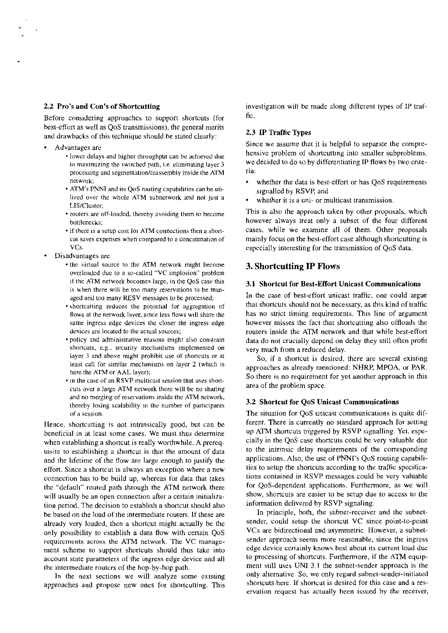#### **2.2 Pro's and Con's of Shortcutting**

Before considering approaches to support shortcuts (for best-effort as well as QoS transmissions), the general merits and drawbacks of this technique should be stated clearly:

- . Advantages are
	- lower delays and higher throughput can be achieved due to maximizing the switched path, i.e. eliminating layer 3 processing and segmentaiion/reassembly inside the ATM network;
	- ATM's PNNl and its QoS routing capabilitics can be utilized over the whole ATM subnetwork and not just a LISICluster;
	- routers are off-loaded, thereby avoiding them to become bottlenecks;
	- if there is a setup cost for ATM connections then a shortcut saves expenses when compared to a concatenation of vcs.
- Disadvantages are
	- the virtual source to the ATM network might become overloaded due ro a so-callcd "VC implosion" problem if the ATM network becomes large, in the  $\cos$  case this is when there will be too many reservations to be managed and too many RESV messages to be processed;
	- shortcutting rcduces the potential fur aggregation of flows at the network layer, since less flows will share the same ingress edge devices the closer the ingress edge devices are located to the actual sources;
	- policy and administrative ressons might also constrain shortcuts, e.g., security mechanisms implemented on layer 3 and above might prohibit use of shortcuts or at least cell for similar mechanisms on layer 2 (which is here the ATM or AAL layer);
	- in the case of an RSVP multicast session that uses shortcuts over a large ATM network there will be no sharing and no merging of reservations inside the ATM network, thereby losing scalability in the number of participants of a session.

Hence, shortcutting is not intrinsically good, but can be beneficial in at least some cases. We must thus determine when establishing a shortcut is really worthwhile. A prerequisite to establishing a shortcut is that the amount of data and the lifetime of the flow are large enough to justify the effort. Since a shortcut is always an exception where a new conneciion has to be build up, whereas for data that takes the "defauli" routed path through the ATM network there will usually be an open connection after a certain initialization period. The decision to establish a shortcut should also be based on the load of the intermediate routers. If these are already very loaded, then a shortcut might actually be the only possibility to establish a data flow with certain QoS requircments across the ATM network. The VC management scheme to support shortcuts should thus take into account state parameters of the ingress edge device and all the intemrdiate routcrs of the hop-by-hop path.

In the next sections we will analyze some existing approaches and propose new ones for shortcutting. This

 $\bar{\mathcal{A}}$ 

investigation will be made along different types of IP traffic.

#### **2.3 IP Traffic** Types

Since we assume that it is helpful to separate the comprehensive problem of shortcutting into smaller subproblems, we decided to do so by differentiating IP flows by two criteria:

- whether the data is best-effort or has QoS requirements signalled by RSVP, and
- whether it is a uni- or multicast transmission.

This is also the approach taken by other proposals, which however always treat only a subset of the four different cases, while we examine all of them. Other proposals mainly focus on the best-effort case although shortcutting is cspecially inieresting for the transmission of QoS data.

#### **3. Shortcutting IP Flows**

#### **3.1 Shortcut for Best-Effort Unicast Comrnunications**

In the case of best-effort unicast traffic, one could argue that shortcuts should not be neccssary, as this kind of traffic has no strict timing requirements. This line of argument however misses the fact that shortcutting also offioads the routers inside the ATM network and that while best-effort data do not crucially depend on delay they still often profir very much from a reduced delay.

So, if a shortcut is desired. there are several existing approaches as already mentioned: NHRP, MPOA. or PAR. So there is no requirement for yet another approach in this area of the problem space.

#### **3.2 Shortcut for QoS Unicast Cornmunications**

The situation for QoS unicast communications is quite different. There is currently no standard approach for setting up ATM shortcuts tiiggered by RSVP signalling. Yet, especially in the QoS case shortcuts could be very valuable due to the intrinsic delay requirements of the corresponding applications. Also, the use of PNNI's QoS routing capabilities to setup the shortcuts according to the traffic specifications contained in RSVP messages could be very valuahle for QoS-dependent applications. Furthermore, as we will show, shortcuts are easier to be setup due to access to the infomation delivered hy RSVP signaling.

In principle, both, the subnet-receiver and the subnetsender, could setup the shortcut VC since point-to-point VCs are bidirectiona1 and asymmetric. However, a subnetsender approach seems more reasonable, since the ingress edge device certainly knows best about its current load duc to processing of shortcuis. Furthermore, if the ATM equipment still uses UNI 3.1 the subnet-scnder approach is the onIy alternative. So, we only regard subnet-sender-initiated shortcuts here. If shortcut is desired for this case and a reservation request has actually been issued by the receiver,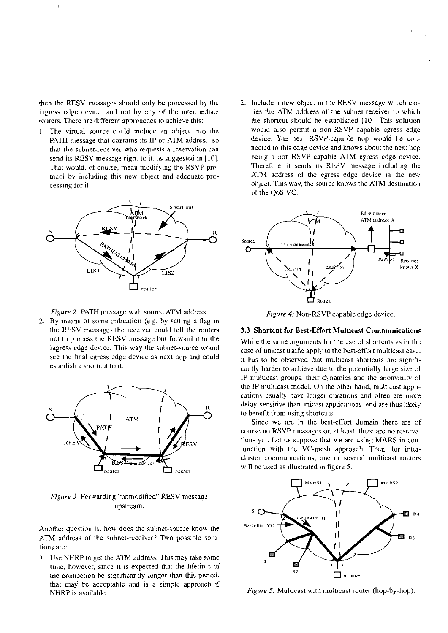then the RESV messages should only be processed by the ingress edge device, and not by any of the intermediate routers. There are different approaches to achieve this:

1. The virtual source could include an object into the PATH message that contains its IP or ATM address, so that the subnet-receiver who requests a reservation can send its RESV message right to it. as suggested in [10]. That would. of Course, mean modifying the RSVP protocol by including this new object and adequate processing for it.



*Figure 2: PATH message with source ATM address.* 

2. By means of some indication (e.g. by setting a Rag in the RESV message) the receiver could tell the routers not io process the RESV message but forward it to the ingress edge device. This way the subnet-source would see the final egress edge device as next hop and could establish a shortcut to it.



*Figure 3:* Forwarding "unmodified" RESV message upsiream.

Another question is: how does the subnet-source know ihe ATM address of the subnet-receiver? Two possible solutions are:

1. Use NHRP to get the ATM address. This may take some time, however, since it is expected that the lifetime of the connection be significantly longer than this period, that may be acceptable and is a simple approach if NHRP is available.

2. Include a ncw object in the RESV message which carries the ATM address of the subnet-receiver to which the shortcut should be established [IO]. This soluiion would also permit a non-RSVP capable egress edge device. The nexi RSVP-capable hop would be connected to this edge device and knows aboui the next hop being a non-RSVP capable ATM egress edge device. Therefore, it sends its RESV message including the ATM address of the egress edge device in the new object. This way, the source knows the ATM destination of the QoS VC.



*Figure 4:* Non-RSVP capable edge device.

#### **3.3 Shortcut for Best-Effort Multicast Communications**

While the same arguments for the use of shortcuts as in the case of unicast traffic apply to the best-effort multicast case. it has to be observed that multicast shortcuts are significantly harder to achieve due to the potentially large size of 1P multicast groups, their dynamics and the anonymity of the IP multicast modcl. On the other hand, multicast applications usually have longer durations and often are more delay-sensitive than unicast applicaiions, and are thus likely to benefit from using shortcuts.

Since we are in the best-efiort domain there are of coursc no RSVP messages or, at least, there are no reservations yet. Let us suppose that we are using MARS in conjunction with the VC-mcsh approach. Then, for intercluster communications, one or several multicast routers will be used as illustrated in figure 5.



*Figure 5:* Multicast with multicast router (hop-by-hop).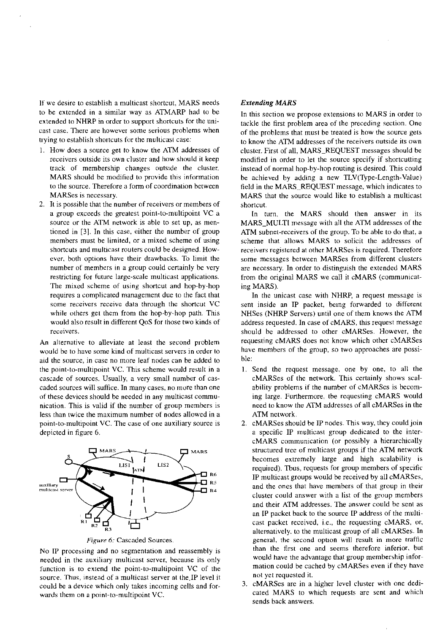If we desire to establish a multicast shortcut, MARS needs to be exiended in a similar way as ATMARP had to he extended to NHRP in order to support shortcuts for the unicast case. There are however some serious problems when trying to establish shortcuts for the multicast case:

- 1. How does a source get to know the ATM addresses of receivers outside its own cluster and how should it keep track of membership changes outside the cluster. MARS should be modified to provide this information to the source. Therefore a form of coordination between MARSes is necessary.
- 2. It is possible that the number of receivers or members of a group exceeds the greatest point-to-multipoint VC a source or the ATM network is able to set up, as mentioned in [3]. In this case, either the number of group members must be limited, or a mixed scheme of using shortcuts and multicast routers could be designed. However. both options have their drawbacks. To limit the number of members in a group could certainly be very restricting for future large-scale multicast applications. The mixed scheme of using shortcut and hop-by-hop requires a complicated management due to the fact that some receivers receive data through the shortcut VC while others get them from the hop-by-hop path. This would also result in different QoS for those two kinds of receivers.

An alternative to alleviate at least the second pioblem would be to have some kind of multicast servers in order to aid the source, in case no more leaf nodes con be added to the point-to-multipoint VC. This scheme would result in a cascade of sources. Usually, a very small number of cascaded sources will suffice. In many cases, no more than one of these devices should be needed in any multicast communication. This is valid if the number of group members is less rhan twice the maximum number of nodes allowed in a point-to-multipoint VC. The case of one auxiliary source is depicted in figure 6.



Figure 6: Cascaded Sources.

No IP processing and no segmentation and reassembly is needed in the auxiliary multicast server, because its only function is to extend the point-to-multipoint VC of the source. Thus, instead of a multicast server at the,IP level it could be a device which only takes incoming cells and forwards them on a point-io-multipoinr VC.

#### *Extending* MARS

In this section we propose extensions to MARS in order to tackle the first problem area of the preceding section. One of the problems that must be treated is how the source gets to know the ATM addresses of the receivers outside its own cluster. First of all, MARS\_REQUEST messages should be modified in order to let the source specify if shortcutting instead of normal hop-by-hop routing is desired. This could be achieved hy adding a new TLV(Type-Length-Value) field in the MARS\_REQUEST message, which indicates to MARS that the source would like to establish a multicast shortcut.

In turn. the MARS should then answer in its MARS\_MULTI message with all the ATM addresses of the ATM subnet-receivers of the group. To be able to do that, a scheme ihat allows MARS ro solicit the addresses of receivers registered at other MARSes is required. Therefore some messages between MARSes from different clusters are necessary. In order to distinguish the extended MARS from the original MARS we call it cMARS (communicating MARS).

In the unicast case with NHRP, a request message is sent inside an IP packet, being forwarded to different NHSes (NHRP Servers) until one of them knows ihe ATM address requested. In case of cMARS, this request message should be addressed to other cMARSes. However, the requesting cMARS does not know which other cMARSes have members of the group, so two approaches are possible:

- 1. Send the request message, one hy one, to all the cMARSes of the network. This certainly shows scalability problems if the number of cMARSes is becoming large. Furthermore, tbe requesting cMARS would need to know the ATM addresses of all cMARSes in the ATM network.
- **2.** cMARSes should be IP nodes. This way. they could join a specific IP multicast group dedicated to the intercMARS communication (or possibly a hierarchically structured tree of multicast groups if the ATM network becomes extremely large and high scalability is requiied). Thus, requests for group members of specific IP multicast groups wouId be received by all cMARSes, and the ones that have members of that group in their cluster could answer with a list of the group members and their ATM addresses. The answer could be sent as an IP packet back to the source IP address of the muliicast packet received, i.e., the requesting cMARS, or, aliernatively. to the multicast group of all cMARSes. In general, the second option will result in more traffic ihan ihe first one and seems therefore inferior. but would have the advantage that group membership information could be cached by cMARSes even if they have not yet requested it.
- 3. cMARSes are in a higher level cluster with one dedicated MARS to which requests are sent and which sends back answers.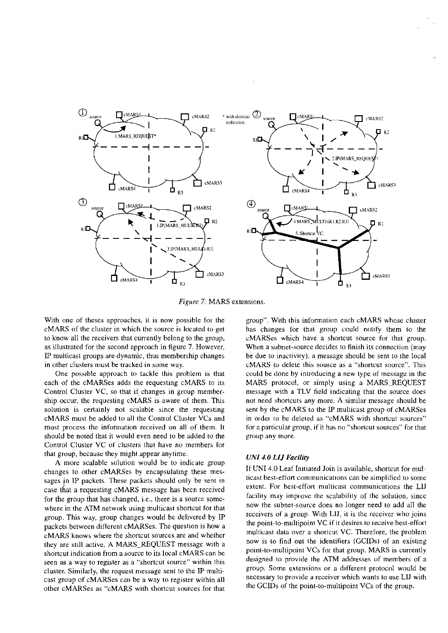

**Figure** 7: MARS extensions.

With one of theses approaches, it is now possible for the cMARS of the cluster in which the source is located to get to know all the receivers that currently belong to the group, as illustrated for the second approach in figure 7. However, IP multicast groups are dynamic, thus membership changes in other clusters rnust be tracked in some way.

One possible approach to tackle this problem is that each of the cMARSes adds the requesting cMARS to its Control Cluster VC, so that if changes in group membership occur, the requesting cMARS is aware of them. This solution is certainly not scalable since the requesting cMARS must be added to all the Control Cluster VCs and must process the information received on all of them. It should be noted that it would even need to be added to the Control Cluster VC of clusiers thai have no inembers for that group, because they might appear anytime.

A more scalable solution would he to indicate group changes to other cMARSes by encapsulating these messages in IP packets. These packets should only be sent in case that a requesting cMARS message has been received for the group that has changed. i.e.. there is a source somewhere in the ATM network using multicast shortcut for that group. This way, group changes would be delivered by IP packets between different cMARSes. The question is how a cMARS knows where the shortcut sources are and whether they are still active. A MARS-REQUEST messagc with **a**  shortcut indication from a source to its local cMARS can he seen **as** a way to register **as** a "shortcut source" within this cluster. Similarly, the request message sent to the IP multicast group of cMARSes can be a way to register within all other cMARSes as "cMARS with shortcut sources for that

group". With this information each cMARS whose cluster has changes for that group could notify them to the cMARSes which have a shortcut source for that group. When a subnet-source decides to finish its connection (may be due to inactivity). a message should be sent to the local cMARS to delete ihis source as a "shortcut source". This could be done by introducing a new type of message in the MARS protocol, or simply using a MARS\_REQUEST message with a TLV field indicating that the source does not need shortcuts any more. A similar message should be sent by the cMARS to the IP multicast group of cMARSes in order to be deleted as "cMARS with shortcut sources" for a particular group, if it has no "shortcut sources" for that group any more.

#### **UNI 4.0** LIJ *Facility*

If UNI 4.0 Leaf Initiated Join is available, shortcut for multicast best-effort communications can be simplified to some extent. For best-effort multicast communications the LIJ facility may improve the scalability of the solution, since now the suhnet-source does no longer need to add all the receivers of a group. With LIJ, it is the receiver who joins the point-to-multipoint VC if it desires to receive best-effort multicast data over a shortcur VC. Therefore, the problem now is to find out the identifiers (GCIDs) of an existing point-10-multipoint VCs for that group. MARS is currently designed to provide the ATM addresses of members of a group. Some extensions or a different protocol would be necessary to provide a receiver which wants to use LIJ with the GCIDs of the point-to-multipoint VCs of the group.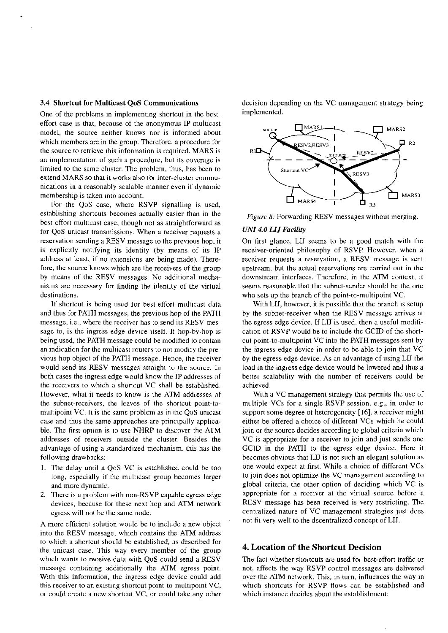#### **3.4** Shortcut for Multicast QoS Communications

One of the problems in implementing shortcut in the besteffort case is that, because of the anonymous IP multicast model, the source neither knows nor is informed about which members are in the group. Therefore, a procedure for the source to retrieve this information is required. MARS is an implementation of such a procedure, but its coverage is limited to the Same cluster. The problem, thus, has been to extend MARS so that it works also for inter-cluster communications in a reasonably scalable manner even if dynamic membership is taken into account.

For the QoS case, where RSVP signalling is used, establishing shortcuts becomes actually easier than in the best-effort rnulticast case, though not as straightforward **as**  for QoS unicast transmissions. When a receiver requests a reservation sending a RESV message to the previous hop, it is explicitly notifying its identity (by means of its IP address at least, if no extensions are being made). Therefore, the source knows which are the receivers of the group by means of the RESV messages. No additional mechanisms are necessary for finding the identity of the virtual destinations.

If shortcut is being used for hest-effort multicast data and thus for PATH messages, the previous hop of the PATH message, i.e., where the receiver has to send its RESV message to, is the ingress edge device itself. If hop-by-hop is being used, the PATH message could be modified to contain an indication for the multicast routers to not modify the previous hop object of ihe PATH message Hence, ihe receiver would send its RESV messages straight to the source. In both cases the ingress edge would know the IP addresses of the receivers to which a shortcut VC shall be established. However, what it needs to know is the ATM addresses of the subnet-receivers, the leaves of the shortcut point-tomultipoint VC. It is the same problem as in the QoS unicast case and thus the same approaches are principally applicable. The first option is io use NHRP to discover the ATM addresses of receivers outside the cluster. Besides the advantage of using a standardized mechanism, this has the following drawbacks:

- I. The delay until a QoS VC is established could be too long, especially if the multicast group becomes larger and more dynamic.
- 2. There is a probIem with non-RSVP capable egress edge devices, because for these next hop and ATM network egress will not be the same node.

A more efficient solution would be to include a new object into the RESV message, which contains the ATM address to which **a** shortcut should bc estabIishcd, as describcd foithe unicast case. This way every member of the group which wants to receive data with QoS could send a RESV message containing additionally the ATM egress point. With this information, the ingress edge device could add this receiver to an existing shortcut point-to-multipoint VC, or couId create a new shortcut VC, or could take any other

decision depending on the VC management strategy being implemented.



Figure 8: Forwarding RESV messages without merging.

#### *UNI* **4.0** *LIJ Facilily*

On first glance, LIJ seems to be a good match with the receiver-oriented philosophy of RSVP. However, when a receiver requests a reservation, a RESV message is sent upstream, but the actual reservations are carried out in the downstream interfaces. Therefore, in the ATM context, it seems reasonable that the subnet-sender should be the one who sets up the branch of the point-to-multipoint VC.

With LIJ, however, it is possible that the branch is setup by the subnet-receiver when the RESV message arrives at the egress edge device. If LIJ is used, then a useful modifi~ cation of RSVP wouId be to include the GCID of the shortcut point-to-multipoint VC into the PATH messages senl by rhe ingress edge device in order to be able to join that VC by the egress edge device. As an advantage of using LIJ the load in the ingress edge device would be lowered and thus a better scalability with the number of receivers could be achieved.

With a VC management strategy that permits the use of multiple VCs for a single RSVP session, e.g.. in order to support some degree of heterogeneity [16], a receiver might either be offered a choice of different VCs which he could join or the source decides according to global criteria which VC is appropriate for a receiver to join and just sends one GCID in the PATH to the egress edge device. Here it becomes obvious that LU is not such an elegant solution as one would expect at first. While a choice of different VCs to join does not optimize the VC management according to global criteria, the other option of deciding which VC is appropriate for a receiver at the virtual source before a RESV message has been received is very restricting. The centralized nature of VC management strategies just does not fit very well to the decentralized concept of LU.

#### **4. Location of the Shortcut Decision**

The fact whether shortcuts are used for best-effort traffic or not, affects the way RSVP control messages are delivered over the AI'M network. This, in turn, influences the way in which shortcuts for RSVP flows can be established and which instance decides about ihe establishment: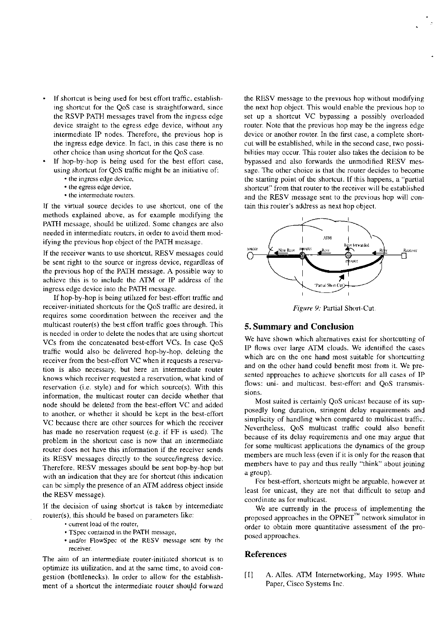- If shortcut is being used for best effort traffic, establishing shortcut for the QoS case is straighiforward. since ihe RSVP PATH messages travcl from thc ingiess edge device straight io the egress cdge device, withoui any iniermediaie 1P nodes. Therefore, ihe previous hop is ihe ingress edge device. In fact, in this case there is no other choice than using shoncut for the QoS case.
- If hop-by-hop is being used for the hest effort case, using shortcut for QoS traffic might be an initiative of:
	- the ingress edge device,
	- the egress edge device,
	- the intermediate routers.

If the virtual source decides to use shortcut, one of the methods explained above, as for example modifying the PATH message, should be utilized. Some changes are also needed in intermediatc routcrs, in order to avoid them modifying the previous hop object of the PATH message.

If the receiver wants to use shortcut, RESV messages could be sent righi to the source or ingress device, regardless of the previous hop of the PATH message. A possible way to achieve this is to include the ATM or IP address of the ingress edge device into rhe PATH rnessage.

If hop-by-hop is being utilized for best-effort traffic and receiver-initiated shortcuis for the QoS traffic are desired, it requires some coordination between the receiver and the multicast router(s) the best cffort traffic goes through. This is needed in order to delete the nodes that are using shortcut VCs from the concarenated best-effort VCs. In case QoS traffic wouId also bc delivered hop-by-hop, deleting the receiver from the best-elfori VC when it requests a reservation is also necessary, but here an intermediate router knows which receiver requested a reservation, what kind ol reservation (i.e. style) and for which source(s). With this information, the multicast router can decide whether that node should be deleted from the best-effort VC and added to another, or whether it should be kept in the best-effort VC because there are other sources for which the receiver has made no reservation request (e.g. if **FF** is used). The problem in the shortcut case is now that an intermediate router does not have this information if the receiver sends its RESV messages directly to the sourcelingress device. Therefore, RESV messages should be sent hop-by-hop but with an indication that they are for shortcut (this indication can bc simply the presence of an ATM address object inside the RESV message).

If the decision of using shortcut is raken by intermediare  $router(s)$ , this should be based on parameters like:

- current load of the router,
- TSpec contained in the PATH message,
- and/or FlowSpec of the RESV message sent by the receiver.

The aim of an intermediate router-initiated shortcut is to optimize its utilization, and at the same time, to avoid congestion (bottlenecks). In order to allow for the establishment of a shortcut the intermediate router should forward the RESV message to the previous hop without modifying the next hop object. This would enable the previous hop to set up a shortcut VC bypassing a possibly overloaded router. Note that the previous hop may be the ingress edge device or another router. In ihe first case, a complete shortcut will be established, while in the second case, two possibilities may occur. This router also takes rhe decision to be bypassed and also forwards the unmodified RESV message. The other choice is that the router decides to become the stariinp point of the shortcui. If this happens, a "partial shortcut" from that router to the receiver will be established and the RESV message sent to thc prcvious hop will contain this router's address as next hop object.



*Figure 9: Partial Short-Cut.* 

#### **5. Summary and Conclusion**

We have shown which alternatives exist for shortcutting of IP flows over large ATM clouds. We identified the cases which are on the one hand most suitable for shortcutting and on the other hand could benefit most from it. We presented approaches to achieve shortcuts for all cases of IP flows: uni- and multicast. best-effort and QoS transmissions.

Most suited is certainly QoS unicasi because of iis supposedly long duration, srringent delay requirements and simplicity of handling when compared to mulucast traffic. Nevertheless, QoS multicast traffic could also henefit because of its delay requirements and one may argue that for some multicast applications the dynamics of the group members are much less (even if it is only for the reason that members have to pay and thus really "think" about joining a group).

For best-effort, shortcuts might be arguable, however at least for unicast, they are not that dificult to setup and coordinate as for rnulticast.

We are currently in the process of implementing the proposed approaches in the OPNET $^{\text{rw}}$  network simulator in order to obtain more quantitarive assessment of the proposed approaches.

#### **References**

[I] A. AIIes. ATM Internetworking, May 1995. White Paper, Cisco Systems Inc.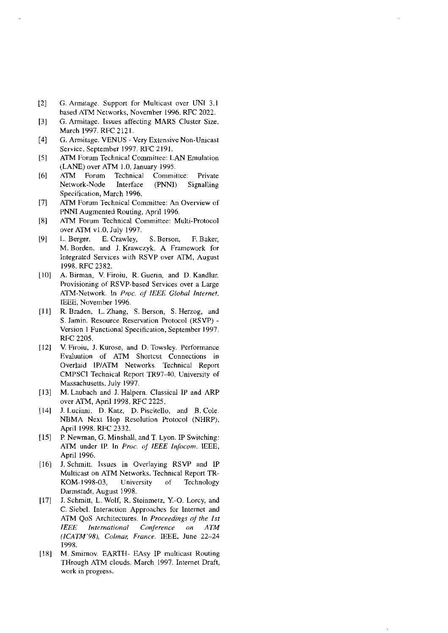- $[2]$ G. Armitage. Support for Multicast over UNI 3.1 based ATM Networks, November 1996. RFC 2022.
- G. Armitage. Issues affecting MARS Cluster Sire.  $[3]$ March 1997. RFC 2121.
- $[4]$ G. Amiitage. VENUS - Very Extensive Non-Unicast Service, September 1997. RFC 2191.
- ATM Forum Technical Committee: LAN Emulation  $[5]$ (LANE) over ATM 1.0, January 1995.
- $[6]$ ATM Forum Technical Committee: Private Network-Node Interface (PNNI) Signalling Specification, March 1996.
- $[7]$ ATM Forum Technical Committee: An Overview of PNNI Augmented Routing, April 1996.
- $[8]$ ATM Forum Technical Committee: Multi-Protocol over ATM v1.0, July 1997.
- $[9]$ L. Berger. E. Crawley, S. Berson, F. Baker, M. Borden, and J. Krawczyk. A Framework for Integrated Services with RSVP over ATM, August 1998. RFC 2382.
- $[10]$ A. Birman, V. Firoiu, R. Guerin, and D. Kandlur. Provisioning of RSVP-based Services over a Large ATM-Network. In *Proc. of IEEE GlobaI Interner.*  IEEE, November 1996.
- R. Braden, L. Zhang, S. Berson, S. Herzog. and  $[11]$ S. Jamin. Resource Reservation Protocol (RSVP) - Version I Functional Specification. September 1997. RFC 2205.
- V. Firoiu, J. Kurose, and D. Towsley. Performance  $[12]$ Evaluation of ATM Shortcut Connections in Overlaid IPIATM Networks. Technical Report CMPSCl Technical Report TR97-40, University of Massachusetts. July 1997.
- M. Lauhach and J. Halpern. Classical 1P and ARP  $[13]$ over ATM, April 1998. RFC 2225.
- $[14]$ J. Luciani. D. Katz, D. Piscitello, and B. Cole. NBMA Next Hop Resolution Protocol (NHRP), April 1998. RFC 2332.
- $[15]$ P. Newman, G. Minshall, and T. Lyon. IP Switching: ATM under IP. In *Proc. of IEEE Infocom*. IEEE, April 1996.
- $[16]$ J. Schmitt. Issues in Overlaying RSVP and 1P Multicast on ATM Networks. Technical Report TR-KOM-1998.03, University of Technology Darmsladt. August 1998.
- $[17]$ J. Schmitt, L. Wolf, R. Steinmetz, Y-0. Lorcy, and C. Siebel. Interaction Approaches for lnternet and ATM QoS Architectures. In *Proceedings of the Ist IEEE International Conference on ATM (ICATM'98), Colmar; France.* IEEE, June 22-23 1998.
- M. Smirnov. EARTH- EAsy IP multicast Routing  $[18]$ THrough ATM clouds. March 1997. Interner Draft, work in progress.